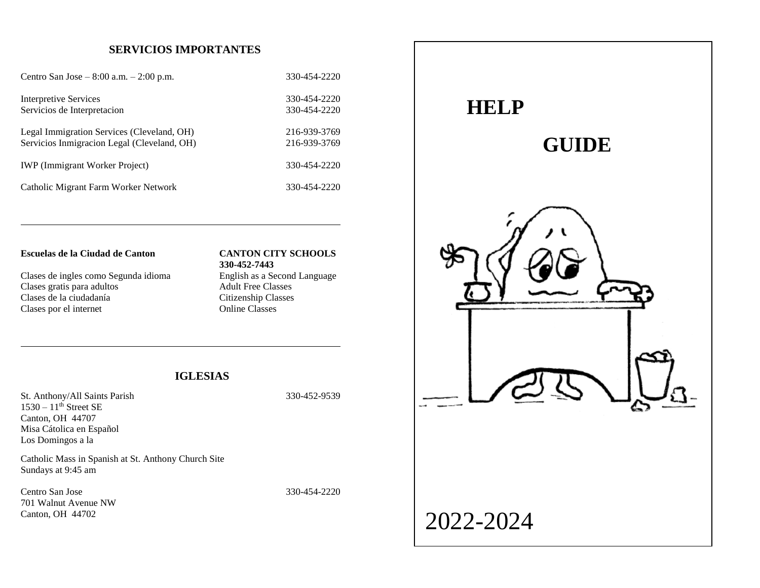# **SERVICIOS IMPORTANTES**

| Centro San Jose – $8:00$ a.m. – $2:00$ p.m. | 330-454-2220 |
|---------------------------------------------|--------------|
| <b>Interpretive Services</b>                | 330-454-2220 |
| Servicios de Interpretacion                 | 330-454-2220 |
| Legal Immigration Services (Cleveland, OH)  | 216-939-3769 |
| Servicios Inmigracion Legal (Cleveland, OH) | 216-939-3769 |
| <b>IWP</b> (Immigrant Worker Project)       | 330-454-2220 |
| Catholic Migrant Farm Worker Network        | 330-454-2220 |

#### **Escuelas de la Ciudad de Canton CANTON CITY SCHOOLS**

Clases de ingles como Segunda idioma English as a Second Language Clases gratis para adultos Adult Free Classes<br>Clases de la ciudadanía Citizenship Classes Clases de la ciudadanía Clases por el internet Online Classes

# **330-452-7443**

# **IGLESIAS**

St. Anthony/All Saints Parish 330-452-9539  $1530 - 11$ <sup>th</sup> Street SE Canton, OH 44707 Misa Cátolica en Español Los Domingos a la

Catholic Mass in Spanish at St. Anthony Church Site Sundays at 9:45 am

Centro San Jose 330-454-2220 701 Walnut Avenue NW Canton, OH 44702

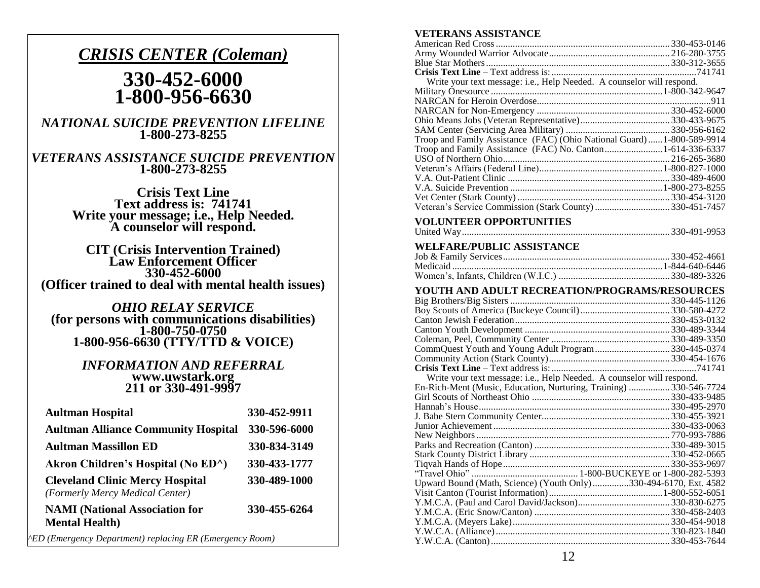# *CRISIS CENTER (Coleman)*

# **330-452-6000 1-800-956-6630**

*NATIONAL SUICIDE PREVENTION LIFELINE* **1-800-273-8255**

# *VETERANS ASSISTANCE SUICIDE PREVENTION* **1-800-273-8255**

**Crisis Text Line Text address is: 741741 Write your message; i.e., Help Needed. A counselor will respond.**

**CIT (Crisis Intervention Trained) Law Enforcement Officer 330-452-6000 (Officer trained to deal with mental health issues)**

*OHIO RELAY SERVICE* **(for persons with communications disabilities) 1-800-750-0750 1-800-956-6630 (TTY/TTD & VOICE)**

> *INFORMATION AND REFERRAL* **www.uwstark.org 211 or 330-491-9997**

| <b>Aultman Hospital</b>                                                   | 330-452-9911 |
|---------------------------------------------------------------------------|--------------|
| <b>Aultman Alliance Community Hospital</b>                                | 330-596-6000 |
| <b>Aultman Massillon ED</b>                                               | 330-834-3149 |
| Akron Children's Hospital (No ED <sup>^</sup> )                           | 330-433-1777 |
| <b>Cleveland Clinic Mercy Hospital</b><br>(Formerly Mercy Medical Center) | 330-489-1000 |
| <b>NAMI</b> (National Association for<br><b>Mental Health</b> )           | 330-455-6264 |

*^ED (Emergency Department) replacing ER (Emergency Room)*

# **VETERANS ASSISTANCE**

| Write your text message: i.e., Help Needed. A counselor will respond. |  |
|-----------------------------------------------------------------------|--|
|                                                                       |  |
|                                                                       |  |
|                                                                       |  |
|                                                                       |  |
|                                                                       |  |
| Troop and Family Assistance (FAC) (Ohio National Guard)1-800-589-9914 |  |
| Troop and Family Assistance (FAC) No. Canton1-614-336-6337            |  |
|                                                                       |  |
|                                                                       |  |
|                                                                       |  |
|                                                                       |  |
|                                                                       |  |
|                                                                       |  |
|                                                                       |  |

# **VOLUNTEER OPPORTUNITIES**

## **WELFARE/PUBLIC ASSISTANCE**

| Medicaid …………………………………………………………………………1-844-640-6446 |
|-----------------------------------------------------|
|                                                     |

#### **YOUTH AND ADULT RECREATION/PROGRAMS/RESOURCES**

| CommQuest Youth and Young Adult Program330-445-0374                   |  |
|-----------------------------------------------------------------------|--|
|                                                                       |  |
|                                                                       |  |
| Write vour text message: i.e., Help Needed. A counselor will respond. |  |
| En-Rich-Ment (Music, Education, Nurturing, Training)  330-546-7724    |  |
|                                                                       |  |
|                                                                       |  |
|                                                                       |  |
|                                                                       |  |
|                                                                       |  |
|                                                                       |  |
|                                                                       |  |
|                                                                       |  |
|                                                                       |  |
| Upward Bound (Math, Science) (Youth Only)330-494-6170, Ext. 4582      |  |
|                                                                       |  |
|                                                                       |  |
|                                                                       |  |
|                                                                       |  |
|                                                                       |  |
|                                                                       |  |
|                                                                       |  |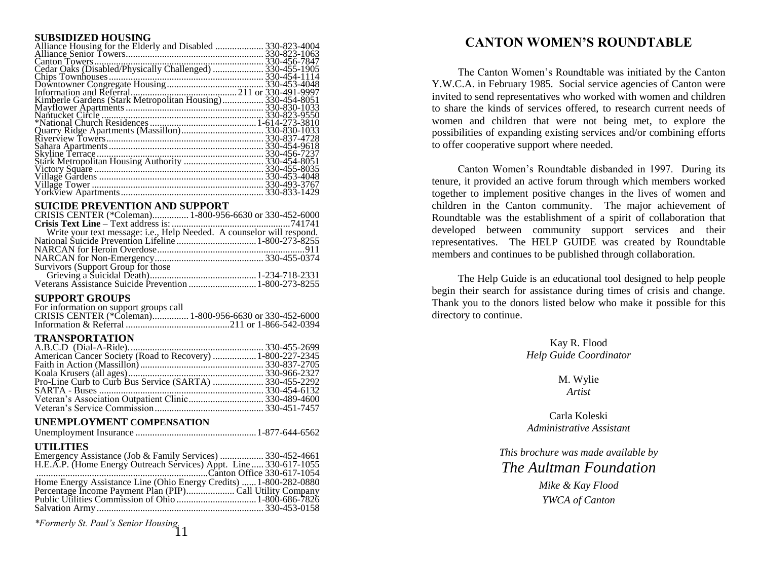#### **SUBSIDIZED HOUSING**

| Kimberle Gardens (Stark Metropolitan Housing) 330-454-8051 |  |
|------------------------------------------------------------|--|
|                                                            |  |
|                                                            |  |
|                                                            |  |
|                                                            |  |
|                                                            |  |
|                                                            |  |
|                                                            |  |
|                                                            |  |
|                                                            |  |
|                                                            |  |
|                                                            |  |
|                                                            |  |
|                                                            |  |

#### **SUICIDE PREVENTION AND SUPPORT**

| CRISIS CENTER (*Coleman) 1-800-956-6630 or 330-452-6000               |  |
|-----------------------------------------------------------------------|--|
|                                                                       |  |
| Write your text message: i.e., Help Needed. A counselor will respond. |  |
|                                                                       |  |
|                                                                       |  |
|                                                                       |  |
|                                                                       |  |
|                                                                       |  |
|                                                                       |  |
|                                                                       |  |

#### **SUPPORT GROUPS**

| For information on support groups call                  |  |
|---------------------------------------------------------|--|
| CRISIS CENTER (*Coleman) 1-800-956-6630 or 330-452-6000 |  |
|                                                         |  |

## **TRANSPORTATION**

| American Cancer Society (Road to Recovery)  1-800-227-2345 |  |
|------------------------------------------------------------|--|
|                                                            |  |
|                                                            |  |
|                                                            |  |
|                                                            |  |
|                                                            |  |
|                                                            |  |
|                                                            |  |

#### **UNEMPLOYMENT COMPENSATION**

|--|--|--|--|--|--|--|--|--|

#### **UTILITIES**

| Emergency Assistance (Job & Family Services)  330-452-4661        |  |
|-------------------------------------------------------------------|--|
| H.E.A.P. (Home Energy Outreach Services) Appt. Line 330-617-1055  |  |
|                                                                   |  |
| Home Energy Assistance Line (Ohio Energy Credits)  1-800-282-0880 |  |
|                                                                   |  |
|                                                                   |  |
|                                                                   |  |

*\*Formerly St. Paul's Senior Housing.* 11

# **CANTON WOMEN'S ROUNDTABLE**

The Canton Women's Roundtable was initiated by the Canton Y.W.C.A. in February 1985. Social service agencies of Canton were invited to send representatives who worked with women and children to share the kinds of services offered, to research current needs of women and children that were not being met, to explore the possibilities of expanding existing services and/or combining efforts to offer cooperative support where needed.

Canton Women's Roundtable disbanded in 1997. During its tenure, it provided an active forum through which members worked together to implement positive changes in the lives of women and children in the Canton community. The major achievement of Roundtable was the establishment of a spirit of collaboration that developed between community support services and their representatives. The HELP GUIDE was created by Roundtable members and continues to be published through collaboration.

The Help Guide is an educational tool designed to help people begin their search for assistance during times of crisis and change. Thank you to the donors listed below who make it possible for this directory to continue.

> Kay R. Flood *Help Guide Coordinator*

> > M. Wylie *Artist*

Carla Koleski *Administrative Assistant*

*This brochure was made available by The Aultman Foundation*

> *Mike & Kay Flood YWCA of Canton*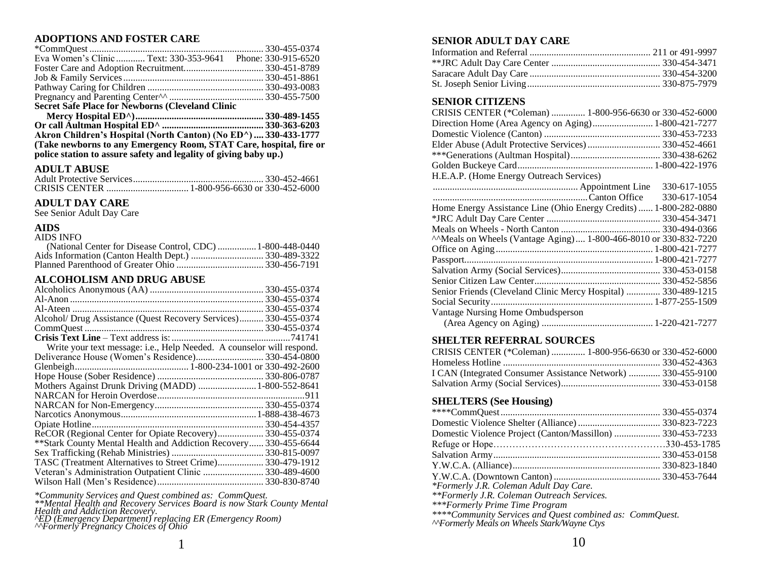# **ADOPTIONS AND FOSTER CARE**

| <b>Secret Safe Place for Newborns (Cleveland Clinic</b>    |
|------------------------------------------------------------|
|                                                            |
|                                                            |
|                                                            |
|                                                            |
| Eva Women's Clinic  Text: 330-353-9641 Phone: 330-915-6520 |
|                                                            |
|                                                            |

**Or call Aultman Hospital ED^ .......................................... 330-363-6203 Akron Children's Hospital (North Canton) (No ED^) .... 330-433-1777 (Take newborns to any Emergency Room, STAT Care, hospital, fire or police station to assure safety and legality of giving baby up.)** 

#### **ADULT ABUSE**

#### **ADULT DAY CARE**

See Senior Adult Day Care

#### **AIDS**

| AIDS INFO                                                  |  |
|------------------------------------------------------------|--|
| (National Center for Disease Control, CDC)  1-800-448-0440 |  |
|                                                            |  |
|                                                            |  |

#### **ALCOHOLISM AND DRUG ABUSE**

| Alcohol/ Drug Assistance (Quest Recovery Services) 330-455-0374       |  |
|-----------------------------------------------------------------------|--|
|                                                                       |  |
|                                                                       |  |
| Write your text message: i.e., Help Needed. A counselor will respond. |  |
|                                                                       |  |
|                                                                       |  |
|                                                                       |  |
| Mothers Against Drunk Driving (MADD)  1-800-552-8641                  |  |
|                                                                       |  |
|                                                                       |  |
|                                                                       |  |
|                                                                       |  |
| ReCOR (Regional Center for Opiate Recovery) 330-455-0374              |  |
| ** Stark County Mental Health and Addiction Recovery 330-455-6644     |  |
|                                                                       |  |
| TASC (Treatment Alternatives to Street Crime) 330-479-1912            |  |
| Veteran's Administration Outpatient Clinic 330-489-4600               |  |
|                                                                       |  |
|                                                                       |  |

*\*Community Services and Quest combined as: CommQuest.*

*\*\*Mental Health and Recovery Services Board is now Stark County Mental Health and Addiction Recovery.*

*^ED (Emergency Department) replacing ER (Emergency Room)*

*^^Formerly Pregnancy Choices of Ohio*

#### **SENIOR ADULT DAY CARE**

#### **SENIOR CITIZENS**

| CRISIS CENTER (*Coleman)  1-800-956-6630 or 330-452-6000 |  |
|----------------------------------------------------------|--|
|                                                          |  |
|                                                          |  |
|                                                          |  |
|                                                          |  |
|                                                          |  |
| H.E.A.P. (Home Energy Outreach Services)                 |  |

|                                                                   | 330-617-1055 |
|-------------------------------------------------------------------|--------------|
|                                                                   | 330-617-1054 |
| Home Energy Assistance Line (Ohio Energy Credits)  1-800-282-0880 |              |
|                                                                   |              |
|                                                                   |              |
| "Meals on Wheels (Vantage Aging) 1-800-466-8010 or 330-832-7220   |              |
|                                                                   |              |
|                                                                   |              |
|                                                                   |              |
|                                                                   |              |
| Senior Friends (Cleveland Clinic Mercy Hospital)  330-489-1215    |              |
|                                                                   |              |
| Vantage Nursing Home Ombudsperson                                 |              |
|                                                                   |              |

#### **SHELTER REFERRAL SOURCES**

| CRISIS CENTER (*Coleman)  1-800-956-6630 or 330-452-6000     |  |
|--------------------------------------------------------------|--|
|                                                              |  |
| I CAN (Integrated Consumer Assistance Network)  330-455-9100 |  |
|                                                              |  |

#### **SHELTERS (See Housing)**

| Domestic Violence Project (Canton/Massillon)  330-453-7233 |  |
|------------------------------------------------------------|--|
|                                                            |  |
|                                                            |  |
|                                                            |  |
|                                                            |  |
| *Formerly J.R. Coleman Adult Day Care.                     |  |
| **Formerly J.R. Coleman Outreach Services.                 |  |
| ***Formerly Prime Time Program                             |  |
| ****Community Services and Quest combined as: CommQuest.   |  |

*^^Formerly Meals on Wheels Stark/Wayne Ctys*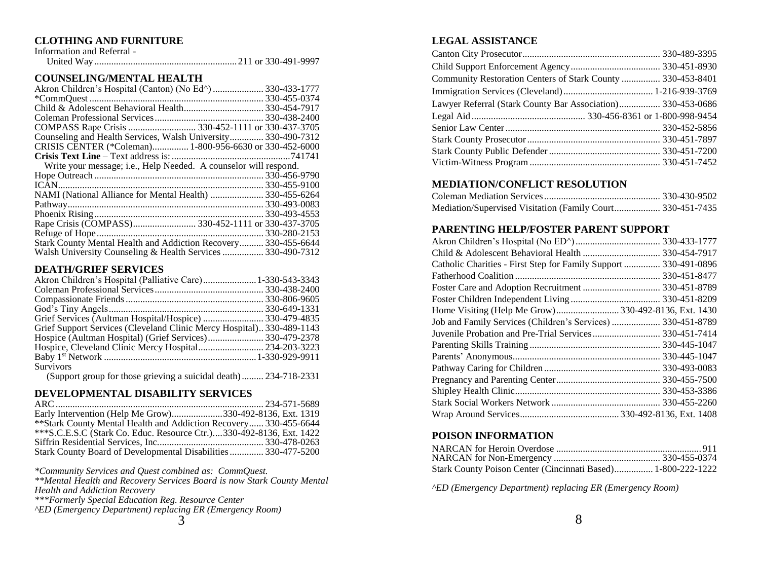#### **CLOTHING AND FURNITURE**

| Information and Referral - |  |
|----------------------------|--|
|                            |  |

#### **COUNSELING/MENTAL HEALTH**

| Counseling and Health Services, Walsh University 330-490-7312    |              |
|------------------------------------------------------------------|--------------|
| CRISIS CENTER (*Coleman) 1-800-956-6630 or 330-452-6000          |              |
|                                                                  |              |
| Write your message; i.e., Help Needed. A counselor will respond. |              |
|                                                                  |              |
|                                                                  |              |
| NAMI (National Alliance for Mental Health)  330-455-6264         |              |
|                                                                  |              |
|                                                                  |              |
|                                                                  |              |
|                                                                  | 330-280-2153 |
| Stark County Mental Health and Addiction Recovery 330-455-6644   |              |
| Walsh University Counseling & Health Services  330-490-7312      |              |
|                                                                  |              |

#### **DEATH/GRIEF SERVICES**

| Grief Support Services (Cleveland Clinic Mercy Hospital) 330-489-1143 |
|-----------------------------------------------------------------------|
|                                                                       |
|                                                                       |
|                                                                       |
| <b>Survivors</b>                                                      |

(Support group for those grieving a suicidal death)......... 234-718-2331

#### **DEVELOPMENTAL DISABILITY SERVICES**

| Early Intervention (Help Me Grow)330-492-8136, Ext. 1319            |  |
|---------------------------------------------------------------------|--|
| ** Stark County Mental Health and Addiction Recovery 330-455-6644   |  |
| ***S.C.E.S.C (Stark Co. Educ. Resource Ctr.)330-492-8136, Ext. 1422 |  |
|                                                                     |  |
| Stark County Board of Developmental Disabilities 330-477-5200       |  |

*\*Community Services and Quest combined as: CommQuest.*

*\*\*Mental Health and Recovery Services Board is now Stark County Mental Health and Addiction Recovery*

*\*\*\*Formerly Special Education Reg. Resource Center*

*^ED (Emergency Department) replacing ER (Emergency Room)*

#### **LEGAL ASSISTANCE**

| Community Restoration Centers of Stark County  330-453-8401 |  |
|-------------------------------------------------------------|--|
|                                                             |  |
| Lawyer Referral (Stark County Bar Association) 330-453-0686 |  |
|                                                             |  |
|                                                             |  |
|                                                             |  |
|                                                             |  |
|                                                             |  |

# **MEDIATION/CONFLICT RESOLUTION**

| Mediation/Supervised Visitation (Family Court 330-451-7435 |  |
|------------------------------------------------------------|--|

#### **PARENTING HELP/FOSTER PARENT SUPPORT**

| Catholic Charities - First Step for Family Support  330-491-0896 |  |
|------------------------------------------------------------------|--|
|                                                                  |  |
|                                                                  |  |
|                                                                  |  |
| Home Visiting (Help Me Grow)330-492-8136, Ext. 1430              |  |
| Job and Family Services (Children's Services)  330-451-8789      |  |
| Juvenile Probation and Pre-Trial Services 330-451-7414           |  |
|                                                                  |  |
|                                                                  |  |
|                                                                  |  |
|                                                                  |  |
|                                                                  |  |
|                                                                  |  |
|                                                                  |  |
|                                                                  |  |

## **POISON INFORMATION**

| Stark County Poison Center (Cincinnati Based) 1-800-222-1222 |  |
|--------------------------------------------------------------|--|

*^ED (Emergency Department) replacing ER (Emergency Room)*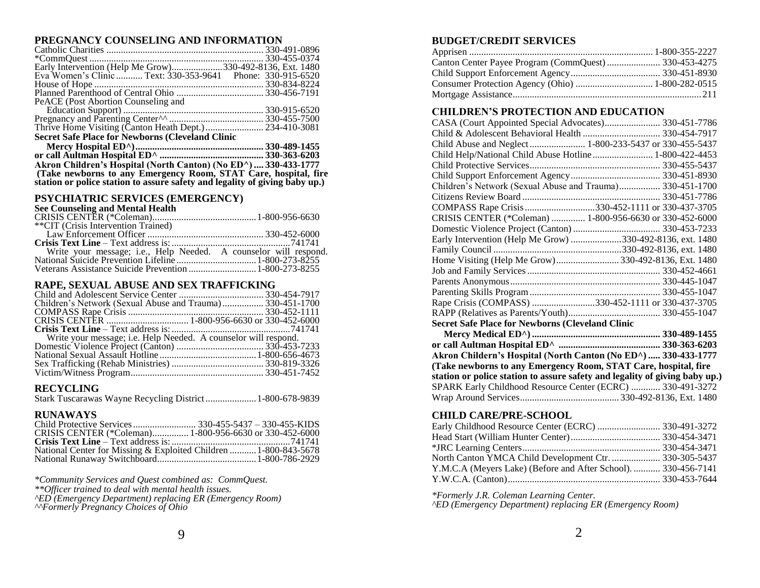#### **PREGNANCY COUNSELING AND INFORMATION**

| PeACE (Post Abortion Counseling and                                         |  |
|-----------------------------------------------------------------------------|--|
|                                                                             |  |
|                                                                             |  |
|                                                                             |  |
| <b>Secret Safe Place for Newborns (Cleveland Clinic</b>                     |  |
|                                                                             |  |
|                                                                             |  |
| Akron Children's Hospital (North Canton) (No ED^)  330-433-1777             |  |
| (Take newborns to any Emergency Room, STAT Care, hospital, fire             |  |
| station or police station to assure safety and legality of giving baby up.) |  |

#### **PSYCHIATRIC SERVICES (EMERGENCY)**

#### **See Counseling and Mental Health**

| **CIT (Crisis Intervention Trained) |  |
|-------------------------------------|--|
|                                     |  |
|                                     |  |
|                                     |  |
|                                     |  |
|                                     |  |

#### **RAPE, SEXUAL ABUSE AND SEX TRAFFICKING**

| Children's Network (Sexual Abuse and Trauma) 330-451-1700 |                                                                 |
|-----------------------------------------------------------|-----------------------------------------------------------------|
|                                                           |                                                                 |
|                                                           |                                                                 |
|                                                           |                                                                 |
|                                                           |                                                                 |
|                                                           |                                                                 |
|                                                           | Write your message; i.e. Help Needed. A counselor will respond. |
|                                                           |                                                                 |
|                                                           |                                                                 |
|                                                           |                                                                 |

#### **RECYCLING**

Stark Tuscarawas Wayne Recycling District.....................1-800-678-9839

#### **RUNAWAYS**

| CRISIS CENTER (*Coleman) 1-800-956-6630 or 330-452-6000          |  |
|------------------------------------------------------------------|--|
|                                                                  |  |
| National Center for Missing & Exploited Children  1-800-843-5678 |  |
|                                                                  |  |

*\*Community Services and Quest combined as: CommQuest.*

*\*\*Officer trained to deal with mental health issues.*

*^ED (Emergency Department) replacing ER (Emergency Room)*

*^^Formerly Pregnancy Choices of Ohio*

# **BUDGET/CREDIT SERVICES**

## **CHILDREN'S PROTECTION AND EDUCATION**

| CASA (Court Appointed Special Advocates) 330-451-7786     |
|-----------------------------------------------------------|
|                                                           |
|                                                           |
| Child Help/National Child Abuse Hotline 1-800-422-4453    |
|                                                           |
|                                                           |
| Children's Network (Sexual Abuse and Trauma) 330-451-1700 |
|                                                           |
| COMPASS Rape Crisis 330-452-1111 or 330-437-3705          |
| CRISIS CENTER (*Coleman)  1-800-956-6630 or 330-452-6000  |
|                                                           |
| Early Intervention (Help Me Grow) 330-492-8136, ext. 1480 |
|                                                           |
| Home Visiting (Help Me Grow)330-492-8136, Ext. 1480       |
|                                                           |
|                                                           |
|                                                           |
| Rape Crisis (COMPASS) 330-452-1111 or 330-437-3705        |
|                                                           |
| <b>Secret Safe Place for Newborns (Cleveland Clinic</b>   |

| Akron Childern's Hospital (North Canton (No ED^)  330-433-1777              |  |
|-----------------------------------------------------------------------------|--|
| (Take newborns to any Emergency Room, STAT Care, hospital, fire             |  |
| station or police station to assure safety and legality of giving baby up.) |  |
| SPARK Early Childhood Resource Center (ECRC)  330-491-3272                  |  |
|                                                                             |  |

# **CHILD CARE/PRE-SCHOOL**

| North Canton YMCA Child Development Ctr.  330-305-5437         |  |
|----------------------------------------------------------------|--|
| Y.M.C.A (Meyers Lake) (Before and After School).  330-456-7141 |  |
|                                                                |  |

*\*Formerly J.R. Coleman Learning Center.*

*^ED (Emergency Department) replacing ER (Emergency Room)*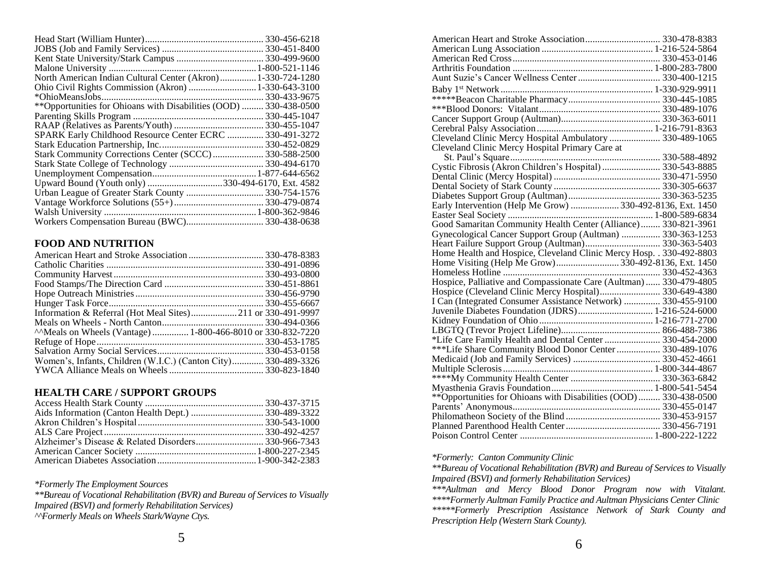| North American Indian Cultural Center (Akron) 1-330-724-1280      |              |
|-------------------------------------------------------------------|--------------|
| Ohio Civil Rights Commission (Akron)  1-330-643-3100              |              |
| *OhioMeansJobs.                                                   | 330-433-9675 |
| **Opportunities for Ohioans with Disabilities (OOD)  330-438-0500 |              |
|                                                                   |              |
|                                                                   |              |
| SPARK Early Childhood Resource Center ECRC  330-491-3272          |              |
|                                                                   |              |
| Stark Community Corrections Center (SCCC) 330-588-2500            |              |
|                                                                   |              |
|                                                                   |              |
| Upward Bound (Youth only) 330-494-6170, Ext. 4582                 |              |
|                                                                   |              |
|                                                                   |              |
|                                                                   |              |
|                                                                   |              |

# **FOOD AND NUTRITION**

| Information & Referral (Hot Meal Sites)211 or 330-491-9997     |  |
|----------------------------------------------------------------|--|
|                                                                |  |
| ^^Meals on Wheels (Vantage)  1-800-466-8010 or 330-832-7220    |  |
|                                                                |  |
|                                                                |  |
| Women's, Infants, Children (W.I.C.) (Canton City) 330-489-3326 |  |
|                                                                |  |

#### **HEALTH CARE / SUPPORT GROUPS**

*\*Formerly The Employment Sources*

*\*\*Bureau of Vocational Rehabilitation (BVR) and Bureau of Services to Visually Impaired (BSVI) and formerly Rehabilitation Services) ^^Formerly Meals on Wheels Stark/Wayne Ctys.*

| American Heart and Stroke Association 330-478-8383                 |  |
|--------------------------------------------------------------------|--|
|                                                                    |  |
|                                                                    |  |
|                                                                    |  |
|                                                                    |  |
|                                                                    |  |
|                                                                    |  |
|                                                                    |  |
|                                                                    |  |
|                                                                    |  |
| Cleveland Clinic Mercy Hospital Ambulatory  330-489-1065           |  |
| Cleveland Clinic Mercy Hospital Primary Care at                    |  |
|                                                                    |  |
|                                                                    |  |
|                                                                    |  |
|                                                                    |  |
|                                                                    |  |
| Early Intervention (Help Me Grow)  330-492-8136, Ext. 1450         |  |
|                                                                    |  |
| Good Samaritan Community Health Center (Alliance) 330-821-3961     |  |
| Gynecological Cancer Support Group (Aultman)  330-363-1253         |  |
|                                                                    |  |
|                                                                    |  |
| Home Visiting (Help Me Grow)330-492-8136, Ext. 1450                |  |
|                                                                    |  |
| Hospice, Palliative and Compassionate Care (Aultman)  330-479-4805 |  |
| Hospice (Cleveland Clinic Mercy Hospital) 330-649-4380             |  |
| I Can (Integrated Consumer Assistance Network)  330-455-9100       |  |
| Juvenile Diabetes Foundation (JDRS) 1-216-524-6000                 |  |
|                                                                    |  |
|                                                                    |  |
| *Life Care Family Health and Dental Center  330-454-2000           |  |
| ***Life Share Community Blood Donor Center  330-489-1076           |  |
|                                                                    |  |
|                                                                    |  |
|                                                                    |  |
|                                                                    |  |
| ** Opportunities for Ohioans with Disabilities (OOD)  330-438-0500 |  |
|                                                                    |  |
|                                                                    |  |
|                                                                    |  |
|                                                                    |  |

#### *\*Formerly: Canton Community Clinic*

*\*\*Bureau of Vocational Rehabilitation (BVR) and Bureau of Services to Visually Impaired (BSVI) and formerly Rehabilitation Services)*

*\*\*\*Aultman and Mercy Blood Donor Program now with Vitalant. \*\*\*\*Formerly Aultman Family Practice and Aultman Physicians Center Clinic \*\*\*\*\*Formerly Prescription Assistance Network of Stark County and Prescription Help (Western Stark County).*